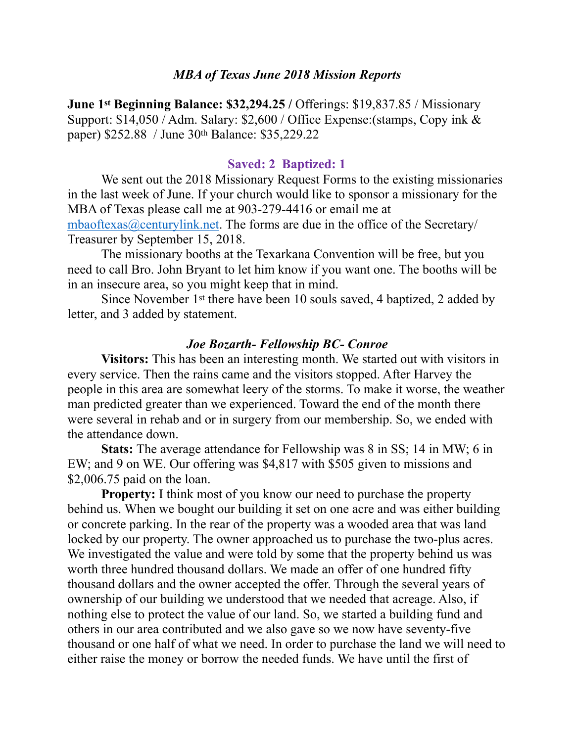### *MBA of Texas June 2018 Mission Reports*

**June 1st Beginning Balance: \$32,294.25 / Offerings: \$19,837.85 / Missionary** Support: \$14,050 / Adm. Salary: \$2,600 / Office Expense:(stamps, Copy ink & paper) \$252.88 / June 30th Balance: \$35,229.22

#### **Saved: 2 Baptized: 1**

We sent out the 2018 Missionary Request Forms to the existing missionaries in the last week of June. If your church would like to sponsor a missionary for the MBA of Texas please call me at 903-279-4416 or email me at [mbaoftexas@centurylink.net.](mailto:mbaoftexas@centurylink.net) The forms are due in the office of the Secretary/ Treasurer by September 15, 2018.

 The missionary booths at the Texarkana Convention will be free, but you need to call Bro. John Bryant to let him know if you want one. The booths will be in an insecure area, so you might keep that in mind.

 Since November 1st there have been 10 souls saved, 4 baptized, 2 added by letter, and 3 added by statement.

### *Joe Bozarth- Fellowship BC- Conroe*

**Visitors:** This has been an interesting month. We started out with visitors in every service. Then the rains came and the visitors stopped. After Harvey the people in this area are somewhat leery of the storms. To make it worse, the weather man predicted greater than we experienced. Toward the end of the month there were several in rehab and or in surgery from our membership. So, we ended with the attendance down.

**Stats:** The average attendance for Fellowship was 8 in SS; 14 in MW; 6 in EW; and 9 on WE. Our offering was \$4,817 with \$505 given to missions and \$2,006.75 paid on the loan.

**Property:** I think most of you know our need to purchase the property behind us. When we bought our building it set on one acre and was either building or concrete parking. In the rear of the property was a wooded area that was land locked by our property. The owner approached us to purchase the two-plus acres. We investigated the value and were told by some that the property behind us was worth three hundred thousand dollars. We made an offer of one hundred fifty thousand dollars and the owner accepted the offer. Through the several years of ownership of our building we understood that we needed that acreage. Also, if nothing else to protect the value of our land. So, we started a building fund and others in our area contributed and we also gave so we now have seventy-five thousand or one half of what we need. In order to purchase the land we will need to either raise the money or borrow the needed funds. We have until the first of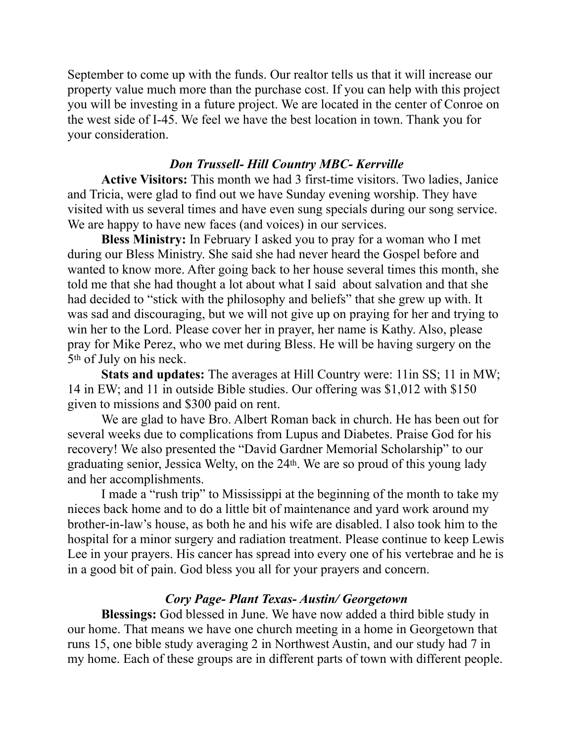September to come up with the funds. Our realtor tells us that it will increase our property value much more than the purchase cost. If you can help with this project you will be investing in a future project. We are located in the center of Conroe on the west side of I-45. We feel we have the best location in town. Thank you for your consideration.

# *Don Trussell- Hill Country MBC- Kerrville*

**Active Visitors:** This month we had 3 first-time visitors. Two ladies, Janice and Tricia, were glad to find out we have Sunday evening worship. They have visited with us several times and have even sung specials during our song service. We are happy to have new faces (and voices) in our services.

**Bless Ministry:** In February I asked you to pray for a woman who I met during our Bless Ministry. She said she had never heard the Gospel before and wanted to know more. After going back to her house several times this month, she told me that she had thought a lot about what I said about salvation and that she had decided to "stick with the philosophy and beliefs" that she grew up with. It was sad and discouraging, but we will not give up on praying for her and trying to win her to the Lord. Please cover her in prayer, her name is Kathy. Also, please pray for Mike Perez, who we met during Bless. He will be having surgery on the 5th of July on his neck.

**Stats and updates:** The averages at Hill Country were: 11in SS; 11 in MW; 14 in EW; and 11 in outside Bible studies. Our offering was \$1,012 with \$150 given to missions and \$300 paid on rent.

 We are glad to have Bro. Albert Roman back in church. He has been out for several weeks due to complications from Lupus and Diabetes. Praise God for his recovery! We also presented the "David Gardner Memorial Scholarship" to our graduating senior, Jessica Welty, on the 24th. We are so proud of this young lady and her accomplishments.

 I made a "rush trip" to Mississippi at the beginning of the month to take my nieces back home and to do a little bit of maintenance and yard work around my brother-in-law's house, as both he and his wife are disabled. I also took him to the hospital for a minor surgery and radiation treatment. Please continue to keep Lewis Lee in your prayers. His cancer has spread into every one of his vertebrae and he is in a good bit of pain. God bless you all for your prayers and concern.

## *Cory Page- Plant Texas- Austin/ Georgetown*

**Blessings:** God blessed in June. We have now added a third bible study in our home. That means we have one church meeting in a home in Georgetown that runs 15, one bible study averaging 2 in Northwest Austin, and our study had 7 in my home. Each of these groups are in different parts of town with different people.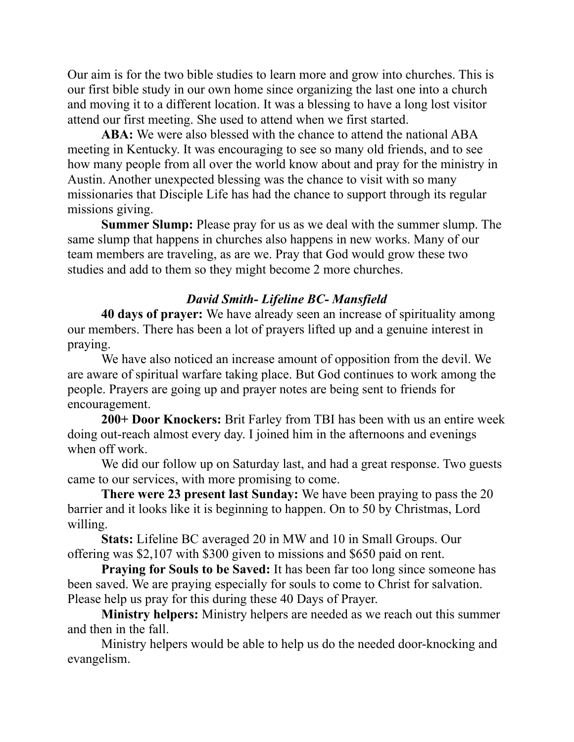Our aim is for the two bible studies to learn more and grow into churches. This is our first bible study in our own home since organizing the last one into a church and moving it to a different location. It was a blessing to have a long lost visitor attend our first meeting. She used to attend when we first started.

**ABA:** We were also blessed with the chance to attend the national ABA meeting in Kentucky. It was encouraging to see so many old friends, and to see how many people from all over the world know about and pray for the ministry in Austin. Another unexpected blessing was the chance to visit with so many missionaries that Disciple Life has had the chance to support through its regular missions giving.

**Summer Slump:** Please pray for us as we deal with the summer slump. The same slump that happens in churches also happens in new works. Many of our team members are traveling, as are we. Pray that God would grow these two studies and add to them so they might become 2 more churches.

# *David Smith- Lifeline BC- Mansfield*

 **40 days of prayer:** We have already seen an increase of spirituality among our members. There has been a lot of prayers lifted up and a genuine interest in praying.

 We have also noticed an increase amount of opposition from the devil. We are aware of spiritual warfare taking place. But God continues to work among the people. Prayers are going up and prayer notes are being sent to friends for encouragement.

**200+ Door Knockers:** Brit Farley from TBI has been with us an entire week doing out-reach almost every day. I joined him in the afternoons and evenings when off work.

We did our follow up on Saturday last, and had a great response. Two guests came to our services, with more promising to come.

**There were 23 present last Sunday:** We have been praying to pass the 20 barrier and it looks like it is beginning to happen. On to 50 by Christmas, Lord willing.

**Stats:** Lifeline BC averaged 20 in MW and 10 in Small Groups. Our offering was \$2,107 with \$300 given to missions and \$650 paid on rent.

**Praying for Souls to be Saved:** It has been far too long since someone has been saved. We are praying especially for souls to come to Christ for salvation. Please help us pray for this during these 40 Days of Prayer.

**Ministry helpers:** Ministry helpers are needed as we reach out this summer and then in the fall.

 Ministry helpers would be able to help us do the needed door-knocking and evangelism.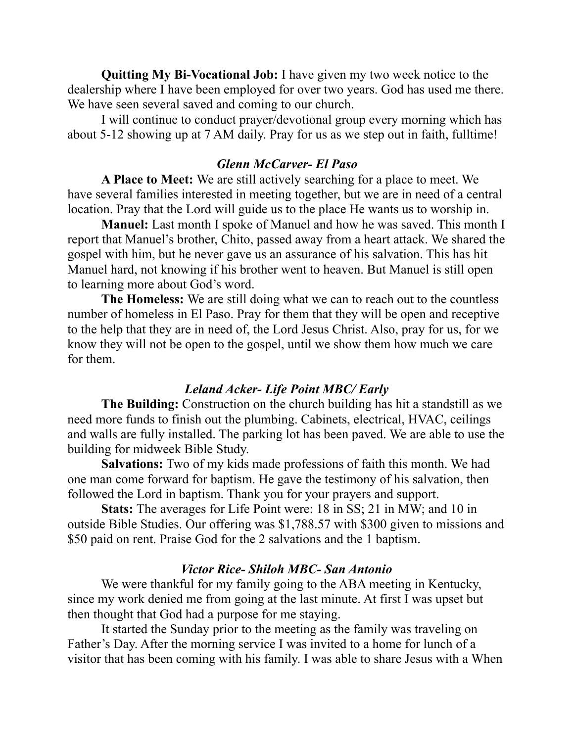**Quitting My Bi-Vocational Job:** I have given my two week notice to the dealership where I have been employed for over two years. God has used me there. We have seen several saved and coming to our church.

 I will continue to conduct prayer/devotional group every morning which has about 5-12 showing up at 7 AM daily. Pray for us as we step out in faith, fulltime!

## *Glenn McCarver- El Paso*

 **A Place to Meet:** We are still actively searching for a place to meet. We have several families interested in meeting together, but we are in need of a central location. Pray that the Lord will guide us to the place He wants us to worship in.

**Manuel:** Last month I spoke of Manuel and how he was saved. This month I report that Manuel's brother, Chito, passed away from a heart attack. We shared the gospel with him, but he never gave us an assurance of his salvation. This has hit Manuel hard, not knowing if his brother went to heaven. But Manuel is still open to learning more about God's word.

**The Homeless:** We are still doing what we can to reach out to the countless number of homeless in El Paso. Pray for them that they will be open and receptive to the help that they are in need of, the Lord Jesus Christ. Also, pray for us, for we know they will not be open to the gospel, until we show them how much we care for them.

## *Leland Acker- Life Point MBC/ Early*

**The Building:** Construction on the church building has hit a standstill as we need more funds to finish out the plumbing. Cabinets, electrical, HVAC, ceilings and walls are fully installed. The parking lot has been paved. We are able to use the building for midweek Bible Study.

**Salvations:** Two of my kids made professions of faith this month. We had one man come forward for baptism. He gave the testimony of his salvation, then followed the Lord in baptism. Thank you for your prayers and support.

**Stats:** The averages for Life Point were: 18 in SS; 21 in MW; and 10 in outside Bible Studies. Our offering was \$1,788.57 with \$300 given to missions and \$50 paid on rent. Praise God for the 2 salvations and the 1 baptism.

### *Victor Rice- Shiloh MBC- San Antonio*

 We were thankful for my family going to the ABA meeting in Kentucky, since my work denied me from going at the last minute. At first I was upset but then thought that God had a purpose for me staying.

 It started the Sunday prior to the meeting as the family was traveling on Father's Day. After the morning service I was invited to a home for lunch of a visitor that has been coming with his family. I was able to share Jesus with a When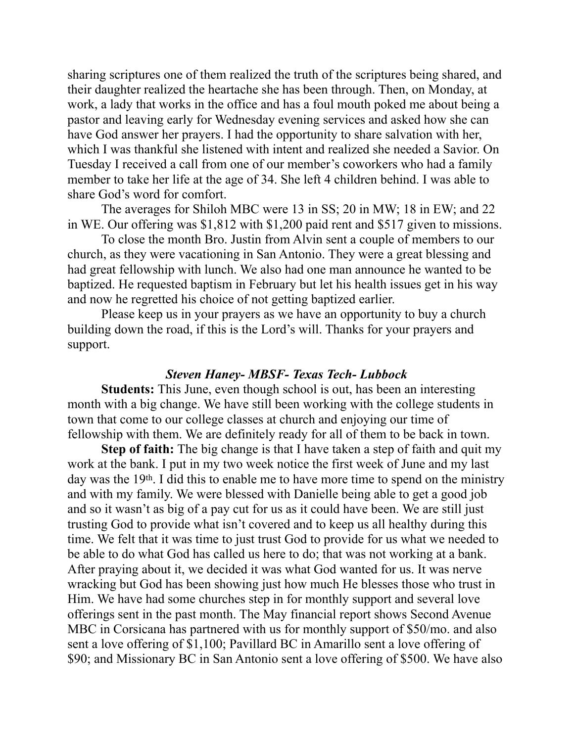sharing scriptures one of them realized the truth of the scriptures being shared, and their daughter realized the heartache she has been through. Then, on Monday, at work, a lady that works in the office and has a foul mouth poked me about being a pastor and leaving early for Wednesday evening services and asked how she can have God answer her prayers. I had the opportunity to share salvation with her, which I was thankful she listened with intent and realized she needed a Savior. On Tuesday I received a call from one of our member's coworkers who had a family member to take her life at the age of 34. She left 4 children behind. I was able to share God's word for comfort.

 The averages for Shiloh MBC were 13 in SS; 20 in MW; 18 in EW; and 22 in WE. Our offering was \$1,812 with \$1,200 paid rent and \$517 given to missions.

 To close the month Bro. Justin from Alvin sent a couple of members to our church, as they were vacationing in San Antonio. They were a great blessing and had great fellowship with lunch. We also had one man announce he wanted to be baptized. He requested baptism in February but let his health issues get in his way and now he regretted his choice of not getting baptized earlier.

 Please keep us in your prayers as we have an opportunity to buy a church building down the road, if this is the Lord's will. Thanks for your prayers and support.

#### *Steven Haney- MBSF- Texas Tech- Lubbock*

**Students:** This June, even though school is out, has been an interesting month with a big change. We have still been working with the college students in town that come to our college classes at church and enjoying our time of fellowship with them. We are definitely ready for all of them to be back in town.

**Step of faith:** The big change is that I have taken a step of faith and quit my work at the bank. I put in my two week notice the first week of June and my last day was the 19<sup>th</sup>. I did this to enable me to have more time to spend on the ministry and with my family. We were blessed with Danielle being able to get a good job and so it wasn't as big of a pay cut for us as it could have been. We are still just trusting God to provide what isn't covered and to keep us all healthy during this time. We felt that it was time to just trust God to provide for us what we needed to be able to do what God has called us here to do; that was not working at a bank. After praying about it, we decided it was what God wanted for us. It was nerve wracking but God has been showing just how much He blesses those who trust in Him. We have had some churches step in for monthly support and several love offerings sent in the past month. The May financial report shows Second Avenue MBC in Corsicana has partnered with us for monthly support of \$50/mo. and also sent a love offering of \$1,100; Pavillard BC in Amarillo sent a love offering of \$90; and Missionary BC in San Antonio sent a love offering of \$500. We have also